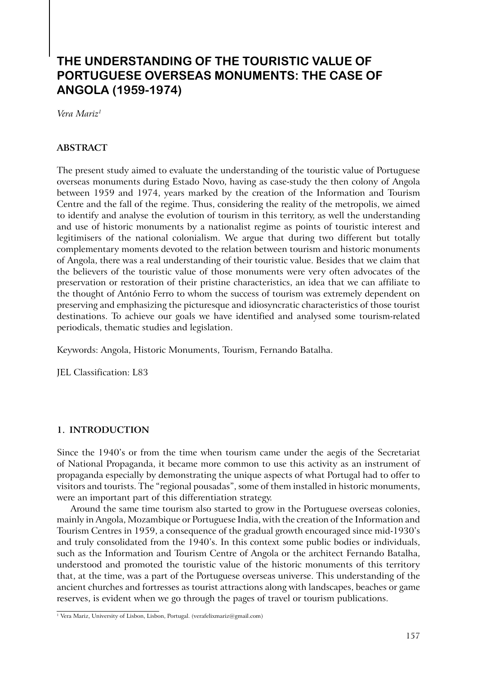# **THE UNDERSTANDING OF THE TOURISTIC VALUE OF PORTUGUESE OVERSEAS MONUMENTS: THE CASE OF ANGOLA (1959-1974)**

*Vera Mariz1*

## **ABSTRACT**

The present study aimed to evaluate the understanding of the touristic value of Portuguese overseas monuments during Estado Novo, having as case-study the then colony of Angola between 1959 and 1974, years marked by the creation of the Information and Tourism Centre and the fall of the regime. Thus, considering the reality of the metropolis, we aimed to identify and analyse the evolution of tourism in this territory, as well the understanding and use of historic monuments by a nationalist regime as points of touristic interest and legitimisers of the national colonialism. We argue that during two different but totally complementary moments devoted to the relation between tourism and historic monuments of Angola, there was a real understanding of their touristic value. Besides that we claim that the believers of the touristic value of those monuments were very often advocates of the preservation or restoration of their pristine characteristics, an idea that we can affiliate to the thought of António Ferro to whom the success of tourism was extremely dependent on preserving and emphasizing the picturesque and idiosyncratic characteristics of those tourist destinations. To achieve our goals we have identified and analysed some tourism-related periodicals, thematic studies and legislation.

Keywords: Angola, Historic Monuments, Tourism, Fernando Batalha.

JEL Classification: L83

#### **1. INTRODUCTION**

Since the 1940's or from the time when tourism came under the aegis of the Secretariat of National Propaganda, it became more common to use this activity as an instrument of propaganda especially by demonstrating the unique aspects of what Portugal had to offer to visitors and tourists. The "regional pousadas", some of them installed in historic monuments, were an important part of this differentiation strategy.

Around the same time tourism also started to grow in the Portuguese overseas colonies, mainly in Angola, Mozambique or Portuguese India, with the creation of the Information and Tourism Centres in 1959, a consequence of the gradual growth encouraged since mid-1930's and truly consolidated from the 1940's. In this context some public bodies or individuals, such as the Information and Tourism Centre of Angola or the architect Fernando Batalha, understood and promoted the touristic value of the historic monuments of this territory that, at the time, was a part of the Portuguese overseas universe. This understanding of the ancient churches and fortresses as tourist attractions along with landscapes, beaches or game reserves, is evident when we go through the pages of travel or tourism publications.

<sup>1</sup> Vera Mariz, University of Lisbon, Lisbon, Portugal. (verafelixmariz@gmail.com)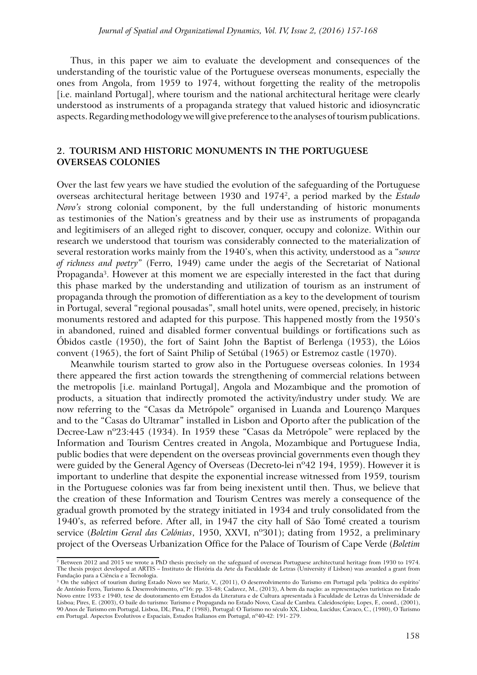Thus, in this paper we aim to evaluate the development and consequences of the understanding of the touristic value of the Portuguese overseas monuments, especially the ones from Angola, from 1959 to 1974, without forgetting the reality of the metropolis [i.e. mainland Portugal], where tourism and the national architectural heritage were clearly understood as instruments of a propaganda strategy that valued historic and idiosyncratic aspects. Regarding methodology we will give preference to the analyses of tourism publications.

#### **2. TOURISM AND HISTORIC MONUMENTS IN THE PORTUGUESE OVERSEAS COLONIES**

Over the last few years we have studied the evolution of the safeguarding of the Portuguese overseas architectural heritage between 1930 and 19742, a period marked by the *Estado Novo's* strong colonial component, by the full understanding of historic monuments as testimonies of the Nation's greatness and by their use as instruments of propaganda and legitimisers of an alleged right to discover, conquer, occupy and colonize. Within our research we understood that tourism was considerably connected to the materialization of several restoration works mainly from the 1940's, when this activity, understood as a "*source of richness and poetry*" (Ferro, 1949) came under the aegis of the Secretariat of National Propaganda<sup>3</sup>. However at this moment we are especially interested in the fact that during this phase marked by the understanding and utilization of tourism as an instrument of propaganda through the promotion of differentiation as a key to the development of tourism in Portugal, several "regional pousadas", small hotel units, were opened, precisely, in historic monuments restored and adapted for this purpose. This happened mostly from the 1950's in abandoned, ruined and disabled former conventual buildings or fortifications such as Óbidos castle (1950), the fort of Saint John the Baptist of Berlenga (1953), the Lóios convent (1965), the fort of Saint Philip of Setúbal (1965) or Estremoz castle (1970).

Meanwhile tourism started to grow also in the Portuguese overseas colonies. In 1934 there appeared the first action towards the strengthening of commercial relations between the metropolis [i.e. mainland Portugal], Angola and Mozambique and the promotion of products, a situation that indirectly promoted the activity/industry under study. We are now referring to the "Casas da Metrópole" organised in Luanda and Lourenço Marques and to the "Casas do Ultramar" installed in Lisbon and Oporto after the publication of the Decree-Law nº23:445 (1934). In 1959 these "Casas da Metrópole" were replaced by the Information and Tourism Centres created in Angola, Mozambique and Portuguese India, public bodies that were dependent on the overseas provincial governments even though they were guided by the General Agency of Overseas (Decreto-lei nº42 194, 1959). However it is important to underline that despite the exponential increase witnessed from 1959, tourism in the Portuguese colonies was far from being inexistent until then. Thus, we believe that the creation of these Information and Tourism Centres was merely a consequence of the gradual growth promoted by the strategy initiated in 1934 and truly consolidated from the 1940's, as referred before. After all, in 1947 the city hall of São Tomé created a tourism service (*Boletim Geral das Colónias*, 1950, XXVI, nº301); dating from 1952, a preliminary project of the Overseas Urbanization Office for the Palace of Tourism of Cape Verde (*Boletim* 

 $\frac{1}{2}$  Between 2012 and 2015 we wrote a PhD thesis precisely on the safeguard of overseas Portuguese architectural heritage from 1930 to 1974. The thesis project developed at ARTIS – Instituto de História da Arte da Faculdade de Letras (University if Lisbon) was awarded a grant from Fundação para a Ciência e a Tecnologia.

<sup>3</sup> On the subject of tourism during Estado Novo see Mariz, V., (2011), O desenvolvimento do Turismo em Portugal pela 'política do espírito' de António Ferro, Turismo & Desenvolvimento, nº16: pp. 35-48; Cadavez, M., (2013), A bem da nação: as representações turísticas no Estado Novo entre 1933 e 1940, tese de doutoramento em Estudos da Literatura e de Cultura apresentada à Faculdade de Letras da Universidade de Lisboa; Pires, E. (2003), O baile do turismo: Turismo e Propaganda no Estado Novo, Casal de Cambra. Caleidoscópio; Lopes, F., coord., (2001), 90 Anos de Turismo em Portugal, Lisboa, DL; Pina, P. (1988), Portugal: O Turismo no século XX, Lisboa, Lucídus; Cavaco, C., (1980), O Turismo em Portugal. Aspectos Evolutivos e Espaciais, Estudos Italianos em Portugal, nº40-42: 191- 279.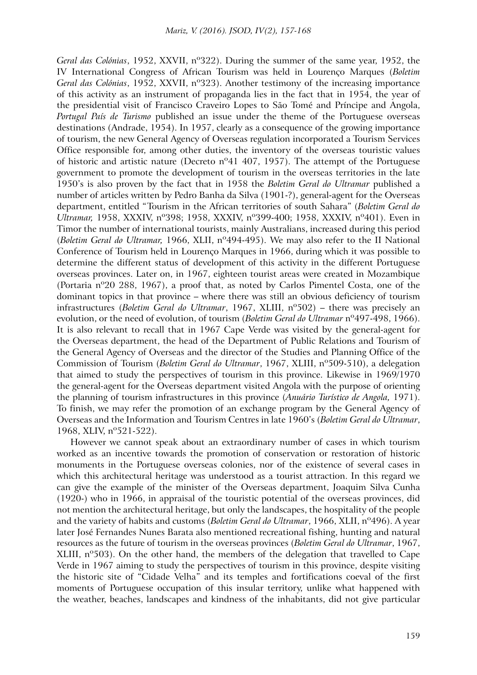*Geral das Colónias*, 1952, XXVII, nº322). During the summer of the same year, 1952, the IV International Congress of African Tourism was held in Lourenço Marques (*Boletim Geral das Colónias*, 1952, XXVII, nº323). Another testimony of the increasing importance of this activity as an instrument of propaganda lies in the fact that in 1954, the year of the presidential visit of Francisco Craveiro Lopes to São Tomé and Príncipe and Angola, *Portugal País de Turismo* published an issue under the theme of the Portuguese overseas destinations (Andrade, 1954). In 1957, clearly as a consequence of the growing importance of tourism, the new General Agency of Overseas regulation incorporated a Tourism Services Office responsible for, among other duties, the inventory of the overseas touristic values of historic and artistic nature (Decreto  $n^041$  407, 1957). The attempt of the Portuguese government to promote the development of tourism in the overseas territories in the late 1950's is also proven by the fact that in 1958 the *Boletim Geral do Ultramar* published a number of articles written by Pedro Banha da Silva (1901-?), general-agent for the Overseas department, entitled "Tourism in the African territories of south Sahara" (*Boletim Geral do Ultramar,* 1958, XXXIV, nº398; 1958, XXXIV, nº399-400; 1958, XXXIV, nº401). Even in Timor the number of international tourists, mainly Australians, increased during this period (*Boletim Geral do Ultramar,* 1966, XLII, nº494-495). We may also refer to the II National Conference of Tourism held in Lourenço Marques in 1966, during which it was possible to determine the different status of development of this activity in the different Portuguese overseas provinces. Later on, in 1967, eighteen tourist areas were created in Mozambique (Portaria nº20 288, 1967), a proof that, as noted by Carlos Pimentel Costa, one of the dominant topics in that province – where there was still an obvious deficiency of tourism infrastructures (*Boletim Geral do Ultramar*, 1967, XLIII, nº502) – there was precisely an evolution, or the need of evolution, of tourism (*Boletim Geral do Ultramar* nº497-498, 1966). It is also relevant to recall that in 1967 Cape Verde was visited by the general-agent for the Overseas department, the head of the Department of Public Relations and Tourism of the General Agency of Overseas and the director of the Studies and Planning Office of the Commission of Tourism (*Boletim Geral do Ultramar*, 1967, XLIII, nº509-510), a delegation that aimed to study the perspectives of tourism in this province. Likewise in 1969/1970 the general-agent for the Overseas department visited Angola with the purpose of orienting the planning of tourism infrastructures in this province (*Anuário Turístico de Angola,* 1971). To finish, we may refer the promotion of an exchange program by the General Agency of Overseas and the Information and Tourism Centres in late 1960's (*Boletim Geral do Ultramar*, 1968, XLIV, nº521-522).

However we cannot speak about an extraordinary number of cases in which tourism worked as an incentive towards the promotion of conservation or restoration of historic monuments in the Portuguese overseas colonies, nor of the existence of several cases in which this architectural heritage was understood as a tourist attraction. In this regard we can give the example of the minister of the Overseas department, Joaquim Silva Cunha (1920-) who in 1966, in appraisal of the touristic potential of the overseas provinces, did not mention the architectural heritage, but only the landscapes, the hospitality of the people and the variety of habits and customs (*Boletim Geral do Ultramar*, 1966, XLII, nº496). A year later José Fernandes Nunes Barata also mentioned recreational fishing, hunting and natural resources as the future of tourism in the overseas provinces (*Boletim Geral do Ultramar*, 1967, XLIII, nº503). On the other hand, the members of the delegation that travelled to Cape Verde in 1967 aiming to study the perspectives of tourism in this province, despite visiting the historic site of "Cidade Velha" and its temples and fortifications coeval of the first moments of Portuguese occupation of this insular territory, unlike what happened with the weather, beaches, landscapes and kindness of the inhabitants, did not give particular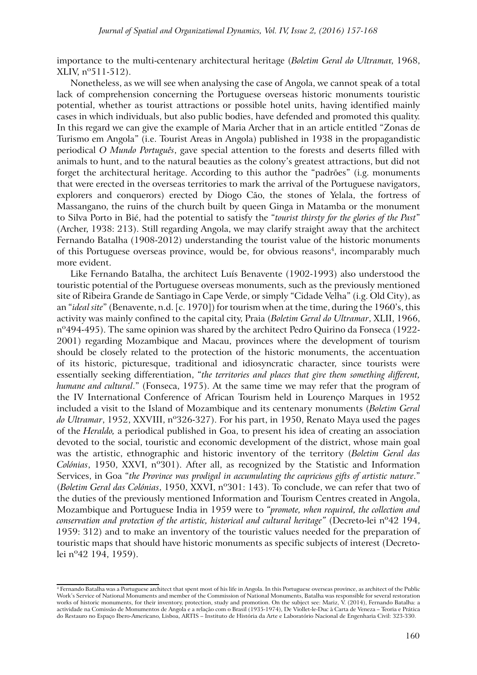importance to the multi-centenary architectural heritage (*Boletim Geral do Ultrama*r, 1968, XLIV, nº511-512).

Nonetheless, as we will see when analysing the case of Angola, we cannot speak of a total lack of comprehension concerning the Portuguese overseas historic monuments touristic potential, whether as tourist attractions or possible hotel units, having identified mainly cases in which individuals, but also public bodies, have defended and promoted this quality. In this regard we can give the example of Maria Archer that in an article entitled "Zonas de Turismo em Angola" (i.e. Tourist Areas in Angola) published in 1938 in the propagandistic periodical *O Mundo Português*, gave special attention to the forests and deserts filled with animals to hunt, and to the natural beauties as the colony's greatest attractions, but did not forget the architectural heritage. According to this author the "padrões" (i.g. monuments that were erected in the overseas territories to mark the arrival of the Portuguese navigators, explorers and conquerors) erected by Diogo Cão, the stones of Yelala, the fortress of Massangano, the ruins of the church built by queen Ginga in Matamba or the monument to Silva Porto in Bié, had the potential to satisfy the "*tourist thirsty for the glories of the Past*" (Archer, 1938: 213). Still regarding Angola, we may clarify straight away that the architect Fernando Batalha (1908-2012) understanding the tourist value of the historic monuments of this Portuguese overseas province, would be, for obvious reasons<sup>4</sup>, incomparably much more evident.

Like Fernando Batalha, the architect Luís Benavente (1902-1993) also understood the touristic potential of the Portuguese overseas monuments, such as the previously mentioned site of Ribeira Grande de Santiago in Cape Verde, or simply "Cidade Velha" (i.g. Old City), as an "*ideal site*" (Benavente, n.d. [c. 1970]) for tourism when at the time, during the 1960's, this activity was mainly confined to the capital city, Praia (*Boletim Geral do Ultramar*, XLII, 1966, nº494-495). The same opinion was shared by the architect Pedro Quirino da Fonseca (1922- 2001) regarding Mozambique and Macau, provinces where the development of tourism should be closely related to the protection of the historic monuments, the accentuation of its historic, picturesque, traditional and idiosyncratic character, since tourists were essentially seeking differentiation, "*the territories and places that give them something different, humane and cultural*." (Fonseca, 1975). At the same time we may refer that the program of the IV International Conference of African Tourism held in Lourenço Marques in 1952 included a visit to the Island of Mozambique and its centenary monuments (*Boletim Geral do Ultramar*, 1952, XXVIII, nº326-327). For his part, in 1950, Renato Maya used the pages of the *Heraldo,* a periodical published in Goa, to present his idea of creating an association devoted to the social, touristic and economic development of the district, whose main goal was the artistic, ethnographic and historic inventory of the territory (*Boletim Geral das Colónias*, 1950, XXVI, nº301). After all, as recognized by the Statistic and Information Services, in Goa "*the Province was prodigal in accumulating the capricious gifts of artistic nature*." (*Boletim Geral das Colónias*, 1950, XXVI, nº301: 143). To conclude, we can refer that two of the duties of the previously mentioned Information and Tourism Centres created in Angola, Mozambique and Portuguese India in 1959 were to *"promote, when required, the collection and conservation and protection of the artistic, historical and cultural heritage"* (Decreto-lei nº42 194, 1959: 312) and to make an inventory of the touristic values needed for the preparation of touristic maps that should have historic monuments as specific subjects of interest (Decretolei nº42 194, 1959).

<sup>4</sup> Fernando Batalha was a Portuguese architect that spent most of his life in Angola. In this Portuguese overseas province, as architect of the Public Work's Service of National Monuments and member of the Commission of National Monuments, Batalha was responsible for several restoration works of historic monuments, for their inventory, protection, study and promotion. On the subject see: Mariz,  $\dot{V}$ . (2014), Fernando Batalha: a actividade na Comissão de Monumentos de Angola e a relação com o Brasil (1935-1974), De Viollet-le-Duc à Carta de Veneza – Teoria e Prática do Restauro no Espaço Ibero-Americano, Lisboa, ARTIS – Instituto de História da Arte e Laboratório Nacional de Engenharia Civil: 323-330.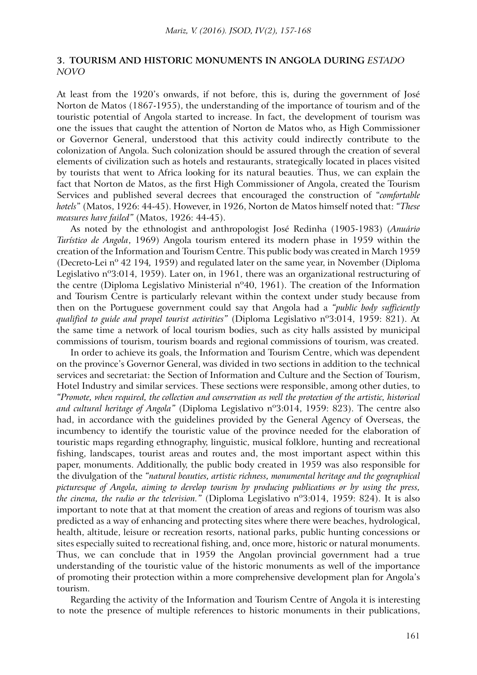### **3. TOURISM AND HISTORIC MONUMENTS IN ANGOLA DURING** *ESTADO NOVO*

At least from the 1920's onwards, if not before, this is, during the government of José Norton de Matos (1867-1955), the understanding of the importance of tourism and of the touristic potential of Angola started to increase. In fact, the development of tourism was one the issues that caught the attention of Norton de Matos who, as High Commissioner or Governor General, understood that this activity could indirectly contribute to the colonization of Angola. Such colonization should be assured through the creation of several elements of civilization such as hotels and restaurants, strategically located in places visited by tourists that went to Africa looking for its natural beauties. Thus, we can explain the fact that Norton de Matos, as the first High Commissioner of Angola, created the Tourism Services and published several decrees that encouraged the construction of "*comfortable hotels*" (Matos, 1926: 44-45). However, in 1926, Norton de Matos himself noted that: *"These measures have failed"* (Matos, 1926: 44-45).

As noted by the ethnologist and anthropologist José Redinha (1905-1983) (*Anuário Turístico de Angola*, 1969) Angola tourism entered its modern phase in 1959 within the creation of the Information and Tourism Centre. This public body was created in March 1959 (Decreto-Lei nº 42 194*,* 1959) and regulated later on the same year, in November (Diploma Legislativo nº3:014, 1959). Later on, in 1961, there was an organizational restructuring of the centre (Diploma Legislativo Ministerial nº40, 1961). The creation of the Information and Tourism Centre is particularly relevant within the context under study because from then on the Portuguese government could say that Angola had a *"public body sufficiently qualified to guide and propel tourist activities"* (Diploma Legislativo nº3:014, 1959: 821). At the same time a network of local tourism bodies, such as city halls assisted by municipal commissions of tourism, tourism boards and regional commissions of tourism, was created.

In order to achieve its goals, the Information and Tourism Centre, which was dependent on the province's Governor General, was divided in two sections in addition to the technical services and secretariat: the Section of Information and Culture and the Section of Tourism, Hotel Industry and similar services. These sections were responsible, among other duties, to *"Promote, when required, the collection and conservation as well the protection of the artistic, historical and cultural heritage of Angola"* (Diploma Legislativo nº3:014, 1959: 823). The centre also had, in accordance with the guidelines provided by the General Agency of Overseas, the incumbency to identify the touristic value of the province needed for the elaboration of touristic maps regarding ethnography, linguistic, musical folklore, hunting and recreational fishing, landscapes, tourist areas and routes and, the most important aspect within this paper, monuments. Additionally, the public body created in 1959 was also responsible for the divulgation of the *"natural beauties, artistic richness, monumental heritage and the geographical picturesque of Angola, aiming to develop tourism by producing publications or by using the press, the cinema, the radio or the television."* (Diploma Legislativo nº3:014, 1959: 824). It is also important to note that at that moment the creation of areas and regions of tourism was also predicted as a way of enhancing and protecting sites where there were beaches, hydrological, health, altitude, leisure or recreation resorts, national parks, public hunting concessions or sites especially suited to recreational fishing, and, once more, historic or natural monuments. Thus, we can conclude that in 1959 the Angolan provincial government had a true understanding of the touristic value of the historic monuments as well of the importance of promoting their protection within a more comprehensive development plan for Angola's tourism.

Regarding the activity of the Information and Tourism Centre of Angola it is interesting to note the presence of multiple references to historic monuments in their publications,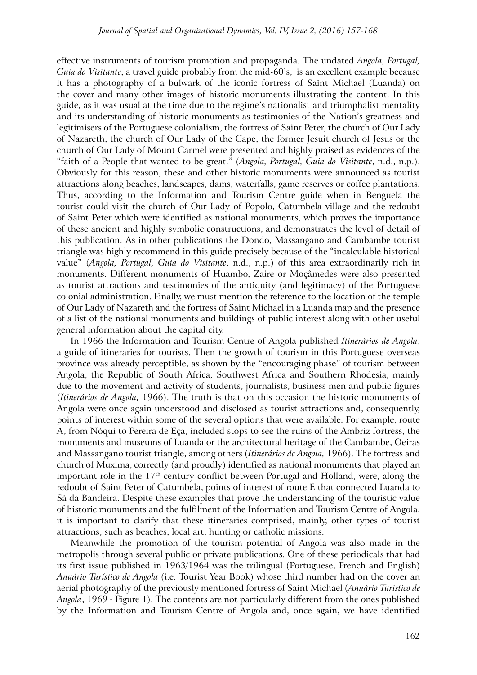effective instruments of tourism promotion and propaganda. The undated *Angola, Portugal, Guia do Visitante*, a travel guide probably from the mid-60's, is an excellent example because it has a photography of a bulwark of the iconic fortress of Saint Michael (Luanda) on the cover and many other images of historic monuments illustrating the content. In this guide, as it was usual at the time due to the regime's nationalist and triumphalist mentality and its understanding of historic monuments as testimonies of the Nation's greatness and legitimisers of the Portuguese colonialism, the fortress of Saint Peter, the church of Our Lady of Nazareth, the church of Our Lady of the Cape, the former Jesuit church of Jesus or the church of Our Lady of Mount Carmel were presented and highly praised as evidences of the "faith of a People that wanted to be great." (*Angola, Portugal, Guia do Visitante*, n.d., n.p.). Obviously for this reason, these and other historic monuments were announced as tourist attractions along beaches, landscapes, dams, waterfalls, game reserves or coffee plantations. Thus, according to the Information and Tourism Centre guide when in Benguela the tourist could visit the church of Our Lady of Popolo, Catumbela village and the redoubt of Saint Peter which were identified as national monuments, which proves the importance of these ancient and highly symbolic constructions, and demonstrates the level of detail of this publication. As in other publications the Dondo, Massangano and Cambambe tourist triangle was highly recommend in this guide precisely because of the "incalculable historical value" (*Angola, Portugal, Guia do Visitante*, n.d., n.p.) of this area extraordinarily rich in monuments. Different monuments of Huambo, Zaire or Moçâmedes were also presented as tourist attractions and testimonies of the antiquity (and legitimacy) of the Portuguese colonial administration. Finally, we must mention the reference to the location of the temple of Our Lady of Nazareth and the fortress of Saint Michael in a Luanda map and the presence of a list of the national monuments and buildings of public interest along with other useful general information about the capital city.

In 1966 the Information and Tourism Centre of Angola published *Itinerários de Angola*, a guide of itineraries for tourists. Then the growth of tourism in this Portuguese overseas province was already perceptible, as shown by the "encouraging phase" of tourism between Angola, the Republic of South Africa, Southwest Africa and Southern Rhodesia, mainly due to the movement and activity of students, journalists, business men and public figures (*Itinerários de Angola,* 1966). The truth is that on this occasion the historic monuments of Angola were once again understood and disclosed as tourist attractions and, consequently, points of interest within some of the several options that were available. For example, route A, from Nóqui to Pereira de Eça, included stops to see the ruins of the Ambriz fortress, the monuments and museums of Luanda or the architectural heritage of the Cambambe, Oeiras and Massangano tourist triangle, among others (*Itinerários de Angola,* 1966). The fortress and church of Muxima, correctly (and proudly) identified as national monuments that played an important role in the 17<sup>th</sup> century conflict between Portugal and Holland, were, along the redoubt of Saint Peter of Catumbela, points of interest of route E that connected Luanda to Sá da Bandeira. Despite these examples that prove the understanding of the touristic value of historic monuments and the fulfilment of the Information and Tourism Centre of Angola, it is important to clarify that these itineraries comprised, mainly, other types of tourist attractions, such as beaches, local art, hunting or catholic missions.

Meanwhile the promotion of the tourism potential of Angola was also made in the metropolis through several public or private publications. One of these periodicals that had its first issue published in 1963/1964 was the trilingual (Portuguese, French and English) *Anuário Turístico de Angola* (i.e. Tourist Year Book) whose third number had on the cover an aerial photography of the previously mentioned fortress of Saint Michael (*Anuário Turístico de Angola*, 1969 - Figure 1). The contents are not particularly different from the ones published by the Information and Tourism Centre of Angola and, once again, we have identified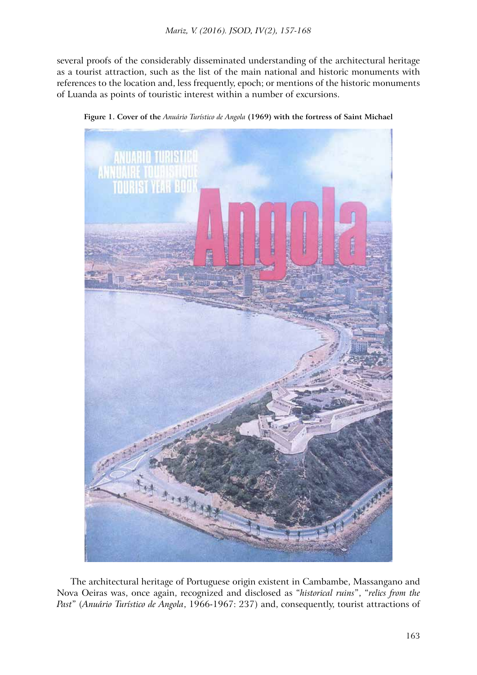several proofs of the considerably disseminated understanding of the architectural heritage as a tourist attraction, such as the list of the main national and historic monuments with references to the location and, less frequently, epoch; or mentions of the historic monuments of Luanda as points of touristic interest within a number of excursions.



**Figure 1. Cover of the** *Anuário Turístico de Angola* **(1969) with the fortress of Saint Michael**

The architectural heritage of Portuguese origin existent in Cambambe, Massangano and Nova Oeiras was, once again, recognized and disclosed as "*historical ruins*", "*relics from the Past*" (*Anuário Turístico de Angola*, 1966-1967: 237) and, consequently, tourist attractions of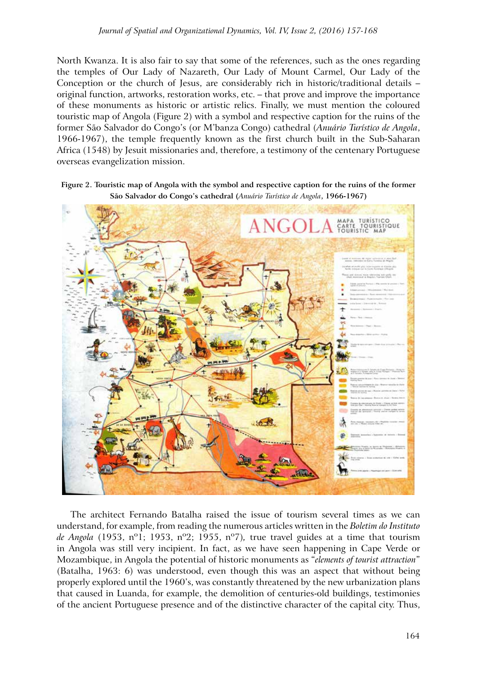North Kwanza. It is also fair to say that some of the references, such as the ones regarding the temples of Our Lady of Nazareth, Our Lady of Mount Carmel, Our Lady of the Conception or the church of Jesus, are considerably rich in historic/traditional details – original function, artworks, restoration works, etc. – that prove and improve the importance of these monuments as historic or artistic relics. Finally, we must mention the coloured touristic map of Angola (Figure 2) with a symbol and respective caption for the ruins of the former São Salvador do Congo's (or M'banza Congo) cathedral (*Anuário Turístico de Angola*, 1966-1967), the temple frequently known as the first church built in the Sub-Saharan Africa (1548) by Jesuit missionaries and, therefore, a testimony of the centenary Portuguese overseas evangelization mission.

**Figure 2. Touristic map of Angola with the symbol and respective caption for the ruins of the former São Salvador do Congo's cathedral (***Anuário Turístico de Angola***, 1966-1967)**



The architect Fernando Batalha raised the issue of tourism several times as we can understand, for example, from reading the numerous articles written in the *Boletim do Instituto de Angola* (1953, nº1; 1953, nº2; 1955, nº7)*,* true travel guides at a time that tourism in Angola was still very incipient. In fact, as we have seen happening in Cape Verde or Mozambique, in Angola the potential of historic monuments as "*elements of tourist attraction*" (Batalha, 1963: 6) was understood, even though this was an aspect that without being properly explored until the 1960's, was constantly threatened by the new urbanization plans that caused in Luanda, for example, the demolition of centuries-old buildings, testimonies of the ancient Portuguese presence and of the distinctive character of the capital city. Thus,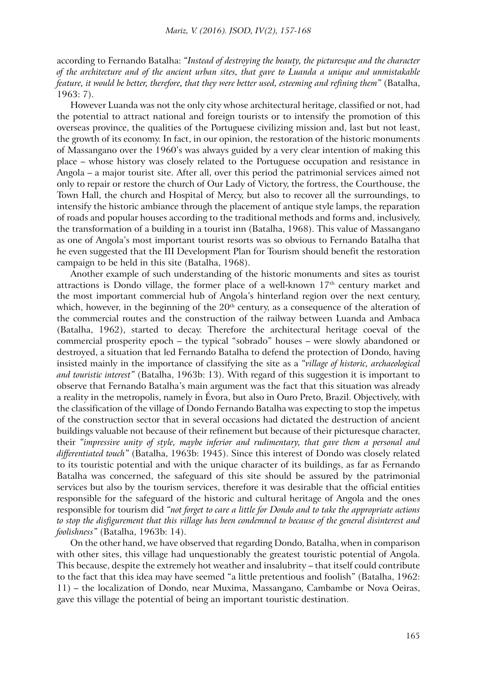according to Fernando Batalha: *"Instead of destroying the beauty, the picturesque and the character of the architecture and of the ancient urban sites, that gave to Luanda a unique and unmistakable feature, it would be better, therefore, that they were better used, esteeming and refining them"* (Batalha, 1963: 7).

However Luanda was not the only city whose architectural heritage, classified or not, had the potential to attract national and foreign tourists or to intensify the promotion of this overseas province, the qualities of the Portuguese civilizing mission and, last but not least, the growth of its economy. In fact, in our opinion, the restoration of the historic monuments of Massangano over the 1960's was always guided by a very clear intention of making this place – whose history was closely related to the Portuguese occupation and resistance in Angola – a major tourist site. After all, over this period the patrimonial services aimed not only to repair or restore the church of Our Lady of Victory, the fortress, the Courthouse, the Town Hall, the church and Hospital of Mercy, but also to recover all the surroundings, to intensify the historic ambiance through the placement of antique style lamps, the reparation of roads and popular houses according to the traditional methods and forms and, inclusively, the transformation of a building in a tourist inn (Batalha, 1968). This value of Massangano as one of Angola's most important tourist resorts was so obvious to Fernando Batalha that he even suggested that the III Development Plan for Tourism should benefit the restoration campaign to be held in this site (Batalha, 1968).

Another example of such understanding of the historic monuments and sites as tourist attractions is Dondo village, the former place of a well-known  $17<sup>th</sup>$  century market and the most important commercial hub of Angola's hinterland region over the next century, which, however, in the beginning of the  $20<sup>th</sup>$  century, as a consequence of the alteration of the commercial routes and the construction of the railway between Luanda and Ambaca (Batalha, 1962), started to decay. Therefore the architectural heritage coeval of the commercial prosperity epoch – the typical "sobrado" houses – were slowly abandoned or destroyed, a situation that led Fernando Batalha to defend the protection of Dondo, having insisted mainly in the importance of classifying the site as a *"village of historic, archaeological and touristic interest"* (Batalha, 1963b: 13). With regard of this suggestion it is important to observe that Fernando Batalha's main argument was the fact that this situation was already a reality in the metropolis, namely in Évora, but also in Ouro Preto, Brazil. Objectively, with the classification of the village of Dondo Fernando Batalha was expecting to stop the impetus of the construction sector that in several occasions had dictated the destruction of ancient buildings valuable not because of their refinement but because of their picturesque character, their *"impressive unity of style, maybe inferior and rudimentary, that gave them a personal and differentiated touch"* (Batalha, 1963b: 1945). Since this interest of Dondo was closely related to its touristic potential and with the unique character of its buildings, as far as Fernando Batalha was concerned, the safeguard of this site should be assured by the patrimonial services but also by the tourism services, therefore it was desirable that the official entities responsible for the safeguard of the historic and cultural heritage of Angola and the ones responsible for tourism did *"not forget to care a little for Dondo and to take the appropriate actions to stop the disfigurement that this village has been condemned to because of the general disinterest and foolishness"* (Batalha, 1963b: 14).

On the other hand, we have observed that regarding Dondo, Batalha, when in comparison with other sites, this village had unquestionably the greatest touristic potential of Angola. This because, despite the extremely hot weather and insalubrity – that itself could contribute to the fact that this idea may have seemed "a little pretentious and foolish" (Batalha, 1962: 11) – the localization of Dondo, near Muxima, Massangano, Cambambe or Nova Oeiras, gave this village the potential of being an important touristic destination.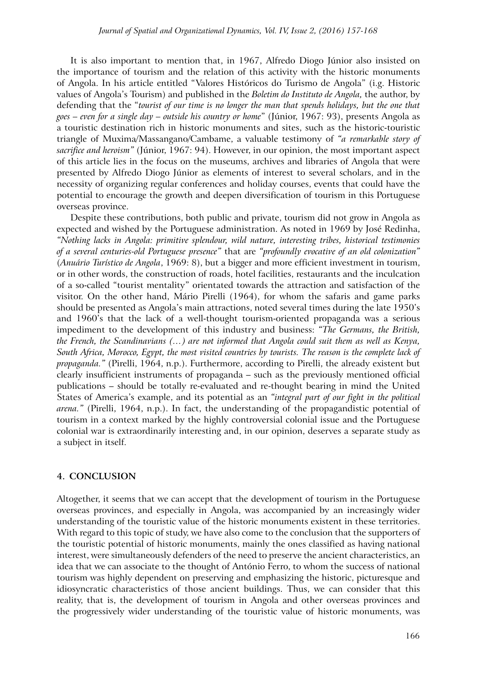It is also important to mention that, in 1967, Alfredo Diogo Júnior also insisted on the importance of tourism and the relation of this activity with the historic monuments of Angola. In his article entitled "Valores Históricos do Turismo de Angola" (i.g. Historic values of Angola's Tourism) and published in the *Boletim do Instituto de Angola,* the author, by defending that the "*tourist of our time is no longer the man that spends holidays, but the one that goes – even for a single day – outside his country or home*" (Júnior, 1967: 93), presents Angola as a touristic destination rich in historic monuments and sites, such as the historic-touristic triangle of Muxima/Massangano/Cambame, a valuable testimony of *"a remarkable story of sacrifice and heroism"* (Júnior, 1967: 94). However, in our opinion, the most important aspect of this article lies in the focus on the museums, archives and libraries of Angola that were presented by Alfredo Diogo Júnior as elements of interest to several scholars, and in the necessity of organizing regular conferences and holiday courses, events that could have the potential to encourage the growth and deepen diversification of tourism in this Portuguese overseas province.

Despite these contributions, both public and private, tourism did not grow in Angola as expected and wished by the Portuguese administration. As noted in 1969 by José Redinha, *"Nothing lacks in Angola: primitive splendour, wild nature, interesting tribes, historical testimonies of a several centuries-old Portuguese presence"* that are *"profoundly evocative of an old colonization"*  (*Anuário Turístico de Angola*, 1969: 8), but a bigger and more efficient investment in tourism, or in other words, the construction of roads, hotel facilities, restaurants and the inculcation of a so-called "tourist mentality" orientated towards the attraction and satisfaction of the visitor. On the other hand, Mário Pirelli (1964), for whom the safaris and game parks should be presented as Angola's main attractions, noted several times during the late 1950's and 1960's that the lack of a well-thought tourism-oriented propaganda was a serious impediment to the development of this industry and business: *"The Germans, the British, the French, the Scandinavians (…) are not informed that Angola could suit them as well as Kenya, South Africa, Morocco, Egypt, the most visited countries by tourists. The reason is the complete lack of propaganda."* (Pirelli, 1964, n.p.). Furthermore, according to Pirelli, the already existent but clearly insufficient instruments of propaganda – such as the previously mentioned official publications – should be totally re-evaluated and re-thought bearing in mind the United States of America's example, and its potential as an *"integral part of our fight in the political arena."* (Pirelli, 1964, n.p.). In fact, the understanding of the propagandistic potential of tourism in a context marked by the highly controversial colonial issue and the Portuguese colonial war is extraordinarily interesting and, in our opinion, deserves a separate study as a subject in itself.

# **4. CONCLUSION**

Altogether, it seems that we can accept that the development of tourism in the Portuguese overseas provinces, and especially in Angola, was accompanied by an increasingly wider understanding of the touristic value of the historic monuments existent in these territories. With regard to this topic of study, we have also come to the conclusion that the supporters of the touristic potential of historic monuments, mainly the ones classified as having national interest, were simultaneously defenders of the need to preserve the ancient characteristics, an idea that we can associate to the thought of António Ferro, to whom the success of national tourism was highly dependent on preserving and emphasizing the historic, picturesque and idiosyncratic characteristics of those ancient buildings. Thus, we can consider that this reality, that is, the development of tourism in Angola and other overseas provinces and the progressively wider understanding of the touristic value of historic monuments, was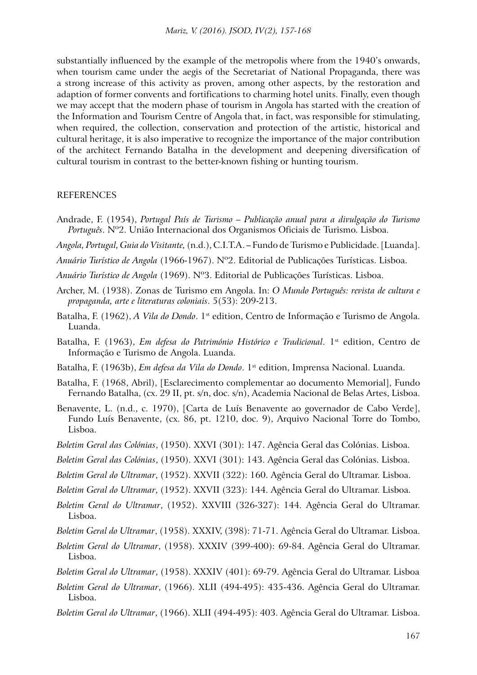substantially influenced by the example of the metropolis where from the 1940's onwards, when tourism came under the aegis of the Secretariat of National Propaganda, there was a strong increase of this activity as proven, among other aspects, by the restoration and adaption of former convents and fortifications to charming hotel units. Finally, even though we may accept that the modern phase of tourism in Angola has started with the creation of the Information and Tourism Centre of Angola that, in fact, was responsible for stimulating, when required, the collection, conservation and protection of the artistic, historical and cultural heritage, it is also imperative to recognize the importance of the major contribution of the architect Fernando Batalha in the development and deepening diversification of cultural tourism in contrast to the better-known fishing or hunting tourism.

#### REFERENCES

- Andrade, F. (1954), *Portugal País de Turismo Publicação anual para a divulgação do Turismo Português*. Nº2. União Internacional dos Organismos Oficiais de Turismo. Lisboa.
- *Angola, Portugal, Guia do Visitante,* (n.d.), C.I.T.A. Fundo de Turismo e Publicidade. [Luanda].
- *Anuário Turístico de Angola* (1966-1967). Nº2. Editorial de Publicações Turísticas. Lisboa.
- *Anuário Turístico de Angola* (1969). Nº3. Editorial de Publicações Turísticas. Lisboa.
- Archer, M. (1938). Zonas de Turismo em Angola. In: *O Mundo Português: revista de cultura e propaganda, arte e literaturas coloniais*. 5(53): 209-213.
- Batalha, F. (1962), *A Vila do Dondo*. 1<sup>st</sup> edition, Centro de Informação e Turismo de Angola. Luanda.
- Batalha, F. (1963), *Em defesa do Património Histórico e Tradicional*. 1<sup>st</sup> edition, Centro de Informação e Turismo de Angola. Luanda.
- Batalha, F. (1963b), *Em defesa da Vila do Dondo*. 1st edition, Imprensa Nacional. Luanda.
- Batalha, F. (1968, Abril), [Esclarecimento complementar ao documento Memorial], Fundo Fernando Batalha, (cx. 29 II, pt. s/n, doc. s/n), Academia Nacional de Belas Artes, Lisboa.
- Benavente, L. (n.d., c. 1970), [Carta de Luís Benavente ao governador de Cabo Verde], Fundo Luís Benavente, (cx. 86, pt. 1210, doc. 9), Arquivo Nacional Torre do Tombo, Lisboa.
- *Boletim Geral das Colónias*, (1950). XXVI (301): 147. Agência Geral das Colónias. Lisboa.
- *Boletim Geral das Colónias*, (1950). XXVI (301): 143. Agência Geral das Colónias. Lisboa.
- *Boletim Geral do Ultramar*, (1952). XXVII (322): 160. Agência Geral do Ultramar. Lisboa.
- *Boletim Geral do Ultramar*, (1952). XXVII (323): 144. Agência Geral do Ultramar. Lisboa.
- *Boletim Geral do Ultramar*, (1952). XXVIII (326-327): 144. Agência Geral do Ultramar. Lisboa.
- *Boletim Geral do Ultramar*, (1958). XXXIV, (398): 71-71. Agência Geral do Ultramar. Lisboa.
- *Boletim Geral do Ultramar*, (1958). XXXIV (399-400): 69-84. Agência Geral do Ultramar. Lisboa.
- *Boletim Geral do Ultramar*, (1958). XXXIV (401): 69-79. Agência Geral do Ultramar. Lisboa
- *Boletim Geral do Ultramar*, (1966). XLII (494-495): 435-436. Agência Geral do Ultramar. Lisboa.
- *Boletim Geral do Ultramar*, (1966). XLII (494-495): 403. Agência Geral do Ultramar. Lisboa.